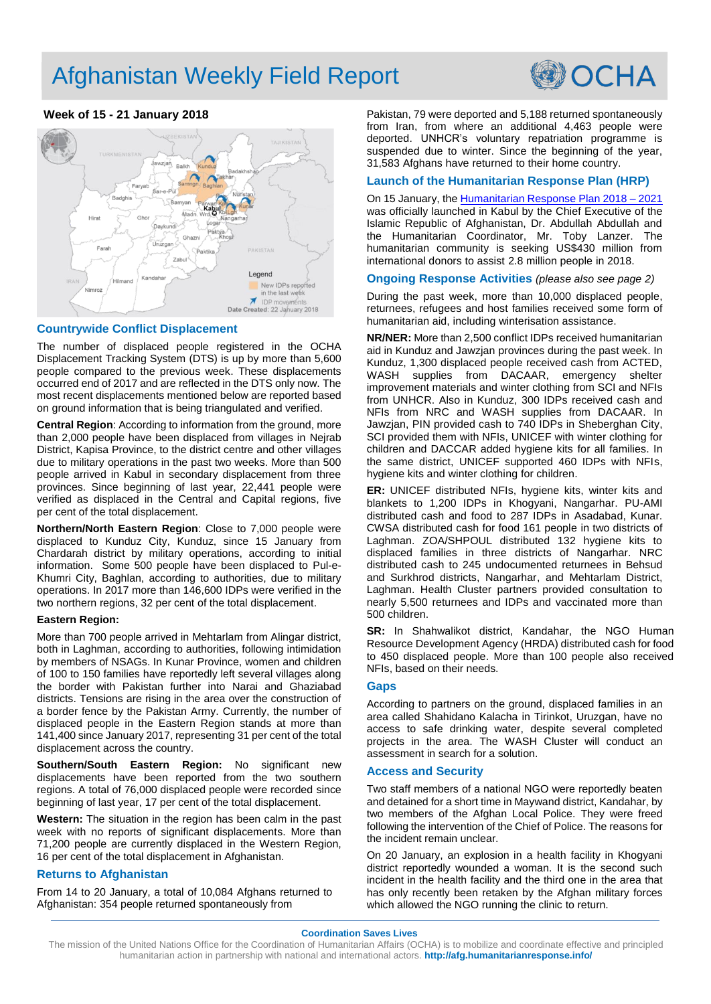# Afghanistan Weekly Field Report



# **Week of 15 - 21 January 2018**



### **Countrywide Conflict Displacement**

The number of displaced people registered in the OCHA Displacement Tracking System (DTS) is up by more than 5,600 people compared to the previous week. These displacements occurred end of 2017 and are reflected in the DTS only now. The most recent displacements mentioned below are reported based on ground information that is being triangulated and verified.

**Central Region**: According to information from the ground, more than 2,000 people have been displaced from villages in Nejrab District, Kapisa Province, to the district centre and other villages due to military operations in the past two weeks. More than 500 people arrived in Kabul in secondary displacement from three provinces. Since beginning of last year, 22,441 people were verified as displaced in the Central and Capital regions, five per cent of the total displacement.

**Northern/North Eastern Region**: Close to 7,000 people were displaced to Kunduz City, Kunduz, since 15 January from Chardarah district by military operations, according to initial information. Some 500 people have been displaced to Pul-e-Khumri City, Baghlan, according to authorities, due to military operations. In 2017 more than 146,600 IDPs were verified in the two northern regions, 32 per cent of the total displacement.

#### **Eastern Region:**

More than 700 people arrived in Mehtarlam from Alingar district, both in Laghman, according to authorities, following intimidation by members of NSAGs. In Kunar Province, women and children of 100 to 150 families have reportedly left several villages along the border with Pakistan further into Narai and Ghaziabad districts. Tensions are rising in the area over the construction of a border fence by the Pakistan Army. Currently, the number of displaced people in the Eastern Region stands at more than 141,400 since January 2017, representing 31 per cent of the total displacement across the country.

**Southern/South Eastern Region:** No significant new displacements have been reported from the two southern regions. A total of 76,000 displaced people were recorded since beginning of last year, 17 per cent of the total displacement.

**Western:** The situation in the region has been calm in the past week with no reports of significant displacements. More than 71,200 people are currently displaced in the Western Region, 16 per cent of the total displacement in Afghanistan.

## **Returns to Afghanistan**

From 14 to 20 January, a total of 10,084 Afghans returned to Afghanistan: 354 people returned spontaneously from

Pakistan, 79 were deported and 5,188 returned spontaneously from Iran, from where an additional 4,463 people were deported. UNHCR's voluntary repatriation programme is suspended due to winter. Since the beginning of the year, 31,583 Afghans have returned to their home country.

### **Launch of the Humanitarian Response Plan (HRP)**

On 15 January, the Humanitarian Response Plan 2018 - 2021 was officially launched in Kabul by the Chief Executive of the Islamic Republic of Afghanistan, Dr. Abdullah Abdullah and the Humanitarian Coordinator, Mr. Toby Lanzer. The humanitarian community is seeking US\$430 million from international donors to assist 2.8 million people in 2018.

#### **Ongoing Response Activities** *(please also see page 2)*

During the past week, more than 10,000 displaced people, returnees, refugees and host families received some form of humanitarian aid, including winterisation assistance.

**NR/NER:** More than 2,500 conflict IDPs received humanitarian aid in Kunduz and Jawzjan provinces during the past week. In Kunduz, 1,300 displaced people received cash from ACTED, WASH supplies from DACAAR, emergency shelter improvement materials and winter clothing from SCI and NFIs from UNHCR. Also in Kunduz, 300 IDPs received cash and NFIs from NRC and WASH supplies from DACAAR. In Jawzjan, PIN provided cash to 740 IDPs in Sheberghan City, SCI provided them with NFIs, UNICEF with winter clothing for children and DACCAR added hygiene kits for all families. In the same district, UNICEF supported 460 IDPs with NFIs, hygiene kits and winter clothing for children.

**ER:** UNICEF distributed NFIs, hygiene kits, winter kits and blankets to 1,200 IDPs in Khogyani, Nangarhar. PU-AMI distributed cash and food to 287 IDPs in Asadabad, Kunar. CWSA distributed cash for food 161 people in two districts of Laghman. ZOA/SHPOUL distributed 132 hygiene kits to displaced families in three districts of Nangarhar. NRC distributed cash to 245 undocumented returnees in Behsud and Surkhrod districts, Nangarhar, and Mehtarlam District, Laghman. Health Cluster partners provided consultation to nearly 5,500 returnees and IDPs and vaccinated more than 500 children.

**SR:** In Shahwalikot district, Kandahar, the NGO Human Resource Development Agency (HRDA) distributed cash for food to 450 displaced people. More than 100 people also received NFIs, based on their needs.

#### **Gaps**

According to partners on the ground, displaced families in an area called Shahidano Kalacha in Tirinkot, Uruzgan, have no access to safe drinking water, despite several completed projects in the area. The WASH Cluster will conduct an assessment in search for a solution.

### **Access and Security**

Two staff members of a national NGO were reportedly beaten and detained for a short time in Maywand district, Kandahar, by two members of the Afghan Local Police. They were freed following the intervention of the Chief of Police. The reasons for the incident remain unclear.

On 20 January, an explosion in a health facility in Khogyani district reportedly wounded a woman. It is the second such incident in the health facility and the third one in the area that has only recently been retaken by the Afghan military forces which allowed the NGO running the clinic to return.

**Coordination Saves Lives**